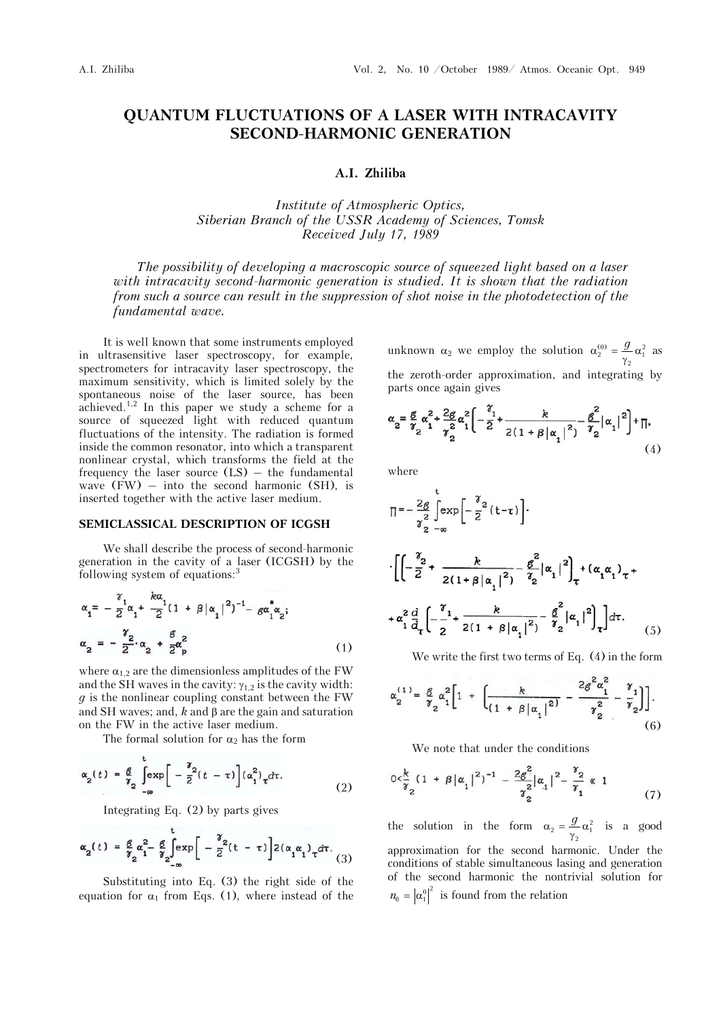# **QUANTUM FLUCTUATIONS OF A LASER WITH INTRACAVITY SECOND-HARMONIC GENERATION**

## **A.I. Zhiliba**

*Institute of Atmospheric Optics, Siberian Branch of the USSR Academy of Sciences, Tomsk Received July 17, 1989* 

*The possibility of developing a macroscopic source of squeezed light based on a laser with intracavity second-harmonic generation is studied. It is shown that the radiation from such a source can result in the suppression of shot noise in the photodetection of the fundamental wave.*

It is well known that some instruments employed in ultrasensitive laser spectroscopy, for example, spectrometers for intracavity laser spectroscopy, the maximum sensitivity, which is limited solely by the spontaneous noise of the laser source, has been achieved.<sup>1,2</sup> In this paper we study a scheme for a source of squeezed light with reduced quantum fluctuations of the intensity. The radiation is formed inside the common resonator, into which a transparent nonlinear crystal, which transforms the field at the frequency the laser source  $(LS)$  – the fundamental wave  $(FW)$  – into the second harmonic  $(SH)$ , is inserted together with the active laser medium.

# **SEMICLASSICAL DESCRIPTION OF ICGSH**

We shall describe the process of second-harmonic generation in the cavity of a laser (ICGSH) by the following system of equations:<sup>3</sup>

$$
\alpha_{1} = -\frac{\gamma_{1}}{2}\alpha_{1} + \frac{k\alpha_{1}}{2}(1 + \beta |\alpha_{1}|^{2})^{-1} - g\alpha_{1}^{*}\alpha_{2};
$$
  

$$
\alpha_{2} = -\frac{\gamma_{2}}{2}\alpha_{2} + \frac{\beta}{2}\alpha_{p}^{2}
$$
 (1)

where  $\alpha_{1,2}$  are the dimensionless amplitudes of the FW and the SH waves in the cavity:  $\gamma_{1,2}$  is the cavity width: *g* is the nonlinear coupling constant between the FW and SH waves; and,  $k$  and  $\beta$  are the gain and saturation on the FW in the active laser medium.

The formal solution for  $\alpha_2$  has the form

$$
\alpha_2(t) = \frac{g}{\gamma_2} \left[ \exp\left[ -\frac{\gamma_2}{2} (t - \tau) \right] (\alpha_1^2) \tau d\tau. \tag{2}
$$

Integrating Eq. (2) by parts gives

 $\ddot{\phantom{a}}$ 

$$
\alpha_2(t) = \frac{g}{\gamma_2} \alpha_1^2 - \frac{g}{\gamma_2} \int_{-\infty}^{\infty} exp\left[-\frac{\gamma_2}{2}(t-\tau)\right] 2(\alpha_1 \alpha_1) \tau d\tau. \tag{3}
$$

Substituting into Eq. (3) the right side of the equation for  $\alpha_1$  from Eqs. (1), where instead of the

unknown  $\alpha_2$  we employ the solution  $\alpha_2^{(0)} = \frac{g}{\gamma_2} \alpha_1^2$  as the zeroth-order approximation, and integrating by parts once again gives

$$
\alpha_2 = \frac{g}{\gamma_2} \alpha_1^2 + \frac{2g}{\gamma_2^2} \alpha_1^2 \left[ -\frac{\gamma_1}{2} + \frac{k}{2(1 + \beta |\alpha_1|^2)} - \frac{g^2}{\gamma_2} |\alpha_1|^2 \right] + \prod, \tag{4}
$$

where

$$
\Pi = -\frac{2g}{\gamma_2^2} \int_{-\infty}^{t} \exp\left[-\frac{\gamma_2}{2}(t-\tau)\right].
$$
  

$$
\cdot \left[ \left( -\frac{\gamma_2}{2} + \frac{k}{2(1+\beta|\alpha_1|^2)} - \frac{g^2}{\gamma_2} |\alpha_1|^2 \right)_\tau + (\alpha_1 \alpha_1)_\tau + \alpha_1^2 \frac{d}{d\tau} \left( -\frac{\gamma_1}{2} + \frac{k}{2(1+\beta|\alpha_1|^2)} - \frac{g^2}{\gamma_2} |\alpha_1|^2 \right)_\tau \right] d\tau.
$$
 (5)

We write the first two terms of Eq. (4) in the form

$$
\alpha_2^{(1)} = \frac{g}{\gamma_2} \alpha_1^2 \left[ 1 + \left[ \frac{k}{(1 + \beta |\alpha_1|^2)} - \frac{2g^2 \alpha_1^2}{\gamma_2^2} - \frac{\gamma_1}{\gamma_2} \right] \right].
$$
\n(6)

We note that under the conditions

$$
0 < \frac{k}{\gamma_2} (1 + \beta |\alpha_1|^2)^{-1} - \frac{2g^2}{\gamma_2^2 |\alpha_1|^2} - \frac{\gamma_2}{\gamma_1^2} \ll 1
$$
 (7)

the solution in the form  $\alpha_2 = \frac{g}{\gamma_2} \alpha_1^2$  is a good approximation for the second harmonic. Under the conditions of stable simultaneous lasing and generation of the second harmonic the nontrivial solution for  $n_0 = |\alpha_1^0|^2$  is found from the relation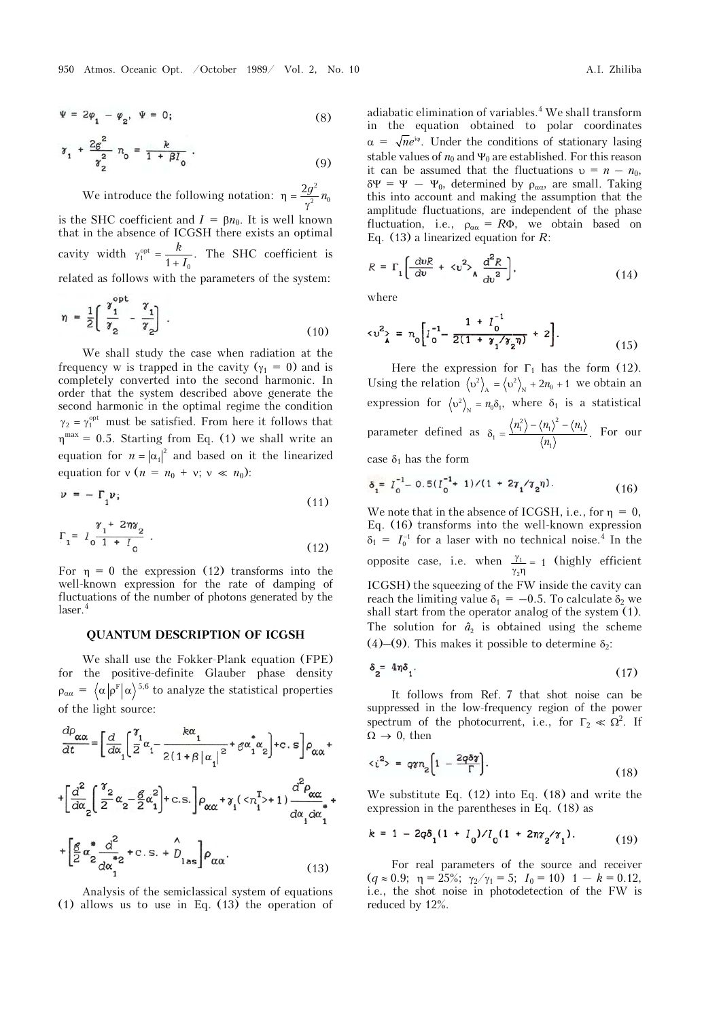$$
\Psi = 2\varphi_1 - \varphi_2, \quad \Psi = 0; \tag{8}
$$

$$
\gamma_1 + \frac{2g^2}{\gamma_2^2} n_0 = \frac{k}{1 + \beta I_0} . \tag{9}
$$

We introduce the following notation:  $\eta = \frac{2g^2}{r^2}$  $\eta = \frac{2g^2}{\gamma^2} n_0$ is the SHC coefficient and  $I = \beta n_0$ . It is well known that in the absence of ICGSH there exists an optimal cavity width  $\gamma_1^{\text{opt}} = \frac{k}{1 + I_0}$ . The SHC coefficient is related as follows with the parameters of the system:

$$
\eta = \frac{1}{2} \left[ \frac{\gamma_1^{\text{opt}}}{\gamma_2} - \frac{\gamma_1}{\gamma_2} \right] \tag{10}
$$

We shall study the case when radiation at the frequency w is trapped in the cavity ( $\gamma_1 = 0$ ) and is completely converted into the second harmonic. In order that the system described above generate the second harmonic in the optimal regime the condition  $\gamma_2 = \gamma_1^{\text{opt}}$  must be satisfied. From here it follows that  $\eta^{\text{max}} = 0.5$ . Starting from Eq. (1) we shall write an equation for  $n = |\alpha_1|^2$  and based on it the linearized equation for  $v (n = n_0 + v; v \ll n_0)$ :

$$
\nu = -\Gamma_1 \nu; \tag{11}
$$

$$
\Gamma_1 = I_0 \frac{\gamma_1 + 2\eta \gamma_2}{1 + I_0} \tag{12}
$$

For  $\eta = 0$  the expression (12) transforms into the well-known expression for the rate of damping of fluctuations of the number of photons generated by the laser.<sup>4</sup>

#### **QUANTUM DESCRIPTION OF ICGSH**

We shall use the Fokker-Plank equation (FPE) for the positive-definite Glauber phase density  $\rho_{\alpha\alpha} = \langle \alpha | \rho^{\rm F} | \alpha \rangle^{5,6}$  to analyze the statistical properties of the light source:

$$
\frac{d\rho_{\alpha\alpha}}{dt} = \left[\frac{d}{d\alpha}\left(\frac{\gamma_1}{2}\alpha_1 - \frac{k\alpha_1}{2(1+\beta|\alpha_1|^2} + g\alpha_1^*\alpha_2\right) + c.\ s\right]\rho_{\alpha\alpha} +
$$

$$
+ \left[\frac{d^2}{d\alpha_2}\left(\frac{\gamma_2}{2}\alpha_2 - \frac{g}{2}\alpha_1^2\right) + c.\ s.\right]\rho_{\alpha\alpha} + \gamma_1(\langle n_1^T \rangle + 1)\frac{d^2\rho_{\alpha\alpha}}{d\alpha_1 d\alpha_1^*} +
$$

$$
+ \left[\frac{g}{2}\alpha_2^*\frac{d^2}{d\alpha_1^*2} + c.\ s.\ + \rho_{\text{las}}\right]\rho_{\alpha\alpha}.
$$
(13)

Analysis of the semiclassical system of equations (1) allows us to use in Eq. (13) the operation of adiabatic elimination of variables.<sup>4</sup> We shall transform in the equation obtained to polar coordinates  $\alpha = \sqrt{n}e^{i\varphi}$ . Under the conditions of stationary lasing stable values of  $n_0$  and  $\Psi_0$  are established. For this reason it can be assumed that the fluctuations  $v = n - n_0$ ,  $\delta \Psi = \Psi - \Psi_0$ , determined by  $\rho_{\alpha \alpha}$ , are small. Taking this into account and making the assumption that the amplitude fluctuations, are independent of the phase fluctuation, i.e.,  $\rho_{\alpha\alpha} = R\Phi$ , we obtain based on Eq. (13) a linearized equation for *R*:

$$
R = \Gamma_1 \left[ \frac{dvR}{dv} + \langle v^2 \rangle_A \frac{d^2R}{dv^2} \right],
$$
 (14)

where

$$
\langle v^2 \rangle = n_0 \bigg[ I_0^{-1} - \frac{1 + I_0^{-1}}{2(1 + \gamma_1/\gamma_2 \eta)} + 2 \bigg]. \tag{15}
$$

Here the expression for  $\Gamma_1$  has the form (12). Using the relation  $\langle v^2 \rangle_A = \langle v^2 \rangle_N + 2n_0 + 1$  we obtain an expression for  $\langle v^2 \rangle_{N} = n_0 \delta_1$ , where  $\delta_1$  is a statistical parameter defined as  $\dot{\rho}_{1}=\frac{\left\langle n_{1}^{2}\right\rangle -\left\langle n_{1}\right\rangle ^{2}-\left\langle n_{1}\right\rangle }{\left\langle n_{1}\right\rangle }$  $\delta_1 = \frac{\langle n_1^2 \rangle - \langle n_1 \rangle^2 - \langle n_1 \rangle}{\langle n_1 \rangle}$ . For our

case  $\delta_1$  has the form

$$
\delta_1 = I_0^{-1} - 0.5(I_0^{-1} + 1)/(1 + 2\gamma_1/\gamma_2\eta). \tag{16}
$$

We note that in the absence of ICGSH, i.e., for  $\eta = 0$ , Eq. (16) transforms into the well-known expression  $\delta_1 = I_0^{-1}$  for a laser with no technical noise.<sup>4</sup> In the opposite case, i.e. when  $\frac{\gamma_1}{\gamma_2}$  $\frac{\gamma_1}{\gamma_2 \eta}$  = 1 (highly efficient ICGSH) the squeezing of the FW inside the cavity can reach the limiting value  $\delta_1 = -0.5$ . To calculate  $\delta_2$  we shall start from the operator analog of the system (1). The solution for  $\hat{a}$ <sup>2</sup> is obtained using the scheme (4)–(9). This makes it possible to determine  $\delta_2$ :

$$
\delta_2 = 4\eta \delta_1. \tag{17}
$$

It follows from Ref. 7 that shot noise can be suppressed in the low-frequency region of the power spectrum of the photocurrent, i.e., for  $\Gamma_2 \ll \Omega^2$ . If  $\Omega \rightarrow 0$ , then

$$
\langle i^2 \rangle = q \gamma n_2 \left[ 1 - \frac{2q \delta \gamma}{\Gamma} \right]. \tag{18}
$$

We substitute Eq. (12) into Eq. (18) and write the expression in the parentheses in Eq. (18) as

$$
k = 1 - 2q\delta_1(1 + I_0) / I_0(1 + 2\eta\gamma_2/\gamma_1). \tag{19}
$$

For real parameters of the source and receiver  $(q \approx 0.9; \eta = 25\%; \gamma_2/\gamma_1 = 5; I_0 = 10) 1 - k = 0.12,$ i.e., the shot noise in photodetection of the FW is reduced by 12%.